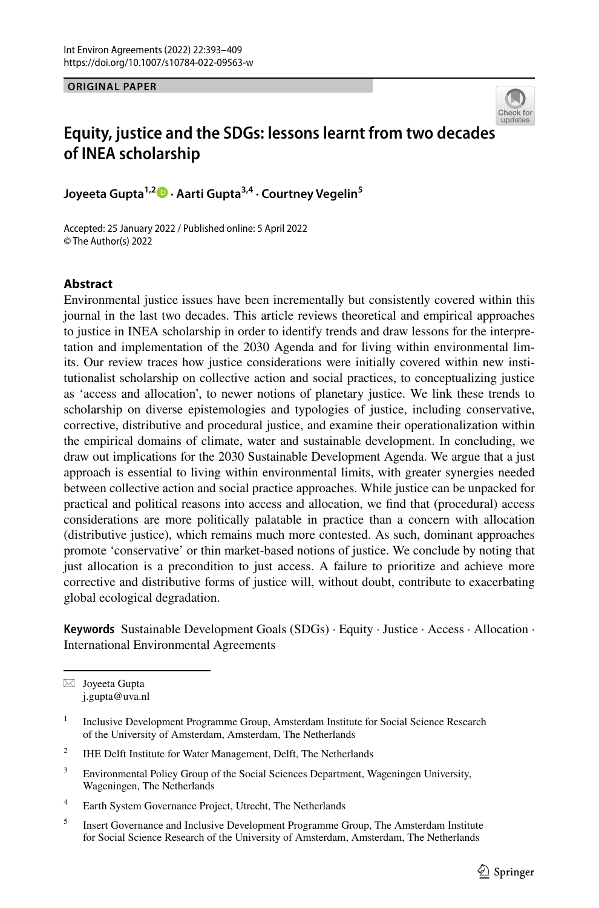**ORIGINAL PAPER**



# **Equity, justice and the SDGs: lessons learnt from two decade[s](http://crossmark.crossref.org/dialog/?doi=10.1007/s10784-022-09563-w&domain=pdf)  of INEA scholarship**

**Joyeeta Gupta1,2 · Aarti Gupta3,4 · Courtney Vegelin5**

Accepted: 25 January 2022 / Published online: 5 April 2022 © The Author(s) 2022

# **Abstract**

Environmental justice issues have been incrementally but consistently covered within this journal in the last two decades. This article reviews theoretical and empirical approaches to justice in INEA scholarship in order to identify trends and draw lessons for the interpretation and implementation of the 2030 Agenda and for living within environmental limits. Our review traces how justice considerations were initially covered within new institutionalist scholarship on collective action and social practices, to conceptualizing justice as 'access and allocation', to newer notions of planetary justice. We link these trends to scholarship on diverse epistemologies and typologies of justice, including conservative, corrective, distributive and procedural justice, and examine their operationalization within the empirical domains of climate, water and sustainable development. In concluding, we draw out implications for the 2030 Sustainable Development Agenda. We argue that a just approach is essential to living within environmental limits, with greater synergies needed between collective action and social practice approaches. While justice can be unpacked for practical and political reasons into access and allocation, we fnd that (procedural) access considerations are more politically palatable in practice than a concern with allocation (distributive justice), which remains much more contested. As such, dominant approaches promote 'conservative' or thin market-based notions of justice. We conclude by noting that just allocation is a precondition to just access. A failure to prioritize and achieve more corrective and distributive forms of justice will, without doubt, contribute to exacerbating global ecological degradation.

**Keywords** Sustainable Development Goals (SDGs) · Equity · Justice · Access · Allocation · International Environmental Agreements

 $\boxtimes$  Joyeeta Gupta j.gupta@uva.nl

- <sup>2</sup> IHE Delft Institute for Water Management, Delft, The Netherlands
- <sup>3</sup> Environmental Policy Group of the Social Sciences Department, Wageningen University, Wageningen, The Netherlands
- <sup>4</sup> Earth System Governance Project, Utrecht, The Netherlands
- <sup>5</sup> Insert Governance and Inclusive Development Programme Group, The Amsterdam Institute for Social Science Research of the University of Amsterdam, Amsterdam, The Netherlands

<sup>&</sup>lt;sup>1</sup> Inclusive Development Programme Group, Amsterdam Institute for Social Science Research of the University of Amsterdam, Amsterdam, The Netherlands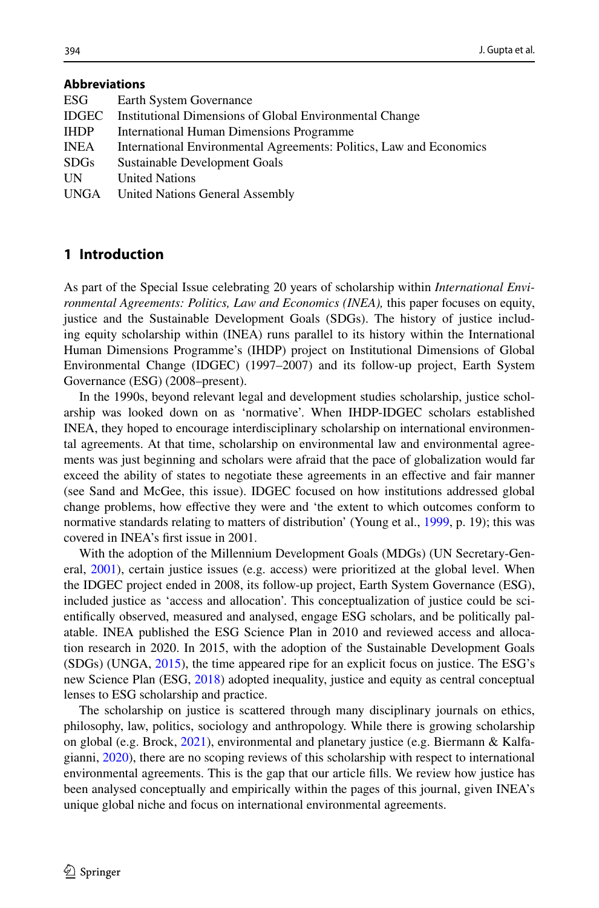# **Abbreviations**

| ESG         | Earth System Governance                                             |
|-------------|---------------------------------------------------------------------|
| IDGEC       | Institutional Dimensions of Global Environmental Change             |
| <b>IHDP</b> | International Human Dimensions Programme                            |
| INEA        | International Environmental Agreements: Politics, Law and Economics |
| <b>SDGs</b> | Sustainable Development Goals                                       |
| UN          | <b>United Nations</b>                                               |
| UNGA        | United Nations General Assembly                                     |
|             |                                                                     |

# **1 Introduction**

As part of the Special Issue celebrating 20 years of scholarship within *International Environmental Agreements: Politics, Law and Economics (INEA),* this paper focuses on equity, justice and the Sustainable Development Goals (SDGs). The history of justice including equity scholarship within (INEA) runs parallel to its history within the International Human Dimensions Programme's (IHDP) project on Institutional Dimensions of Global Environmental Change (IDGEC) (1997–2007) and its follow-up project, Earth System Governance (ESG) (2008–present).

In the 1990s, beyond relevant legal and development studies scholarship, justice scholarship was looked down on as 'normative'. When IHDP-IDGEC scholars established INEA, they hoped to encourage interdisciplinary scholarship on international environmental agreements. At that time, scholarship on environmental law and environmental agreements was just beginning and scholars were afraid that the pace of globalization would far exceed the ability of states to negotiate these agreements in an efective and fair manner (see Sand and McGee, this issue). IDGEC focused on how institutions addressed global change problems, how efective they were and 'the extent to which outcomes conform to normative standards relating to matters of distribution' (Young et al., [1999,](#page-16-0) p. 19); this was covered in INEA's frst issue in 2001.

With the adoption of the Millennium Development Goals (MDGs) (UN Secretary-General, [2001\)](#page-16-1), certain justice issues (e.g. access) were prioritized at the global level. When the IDGEC project ended in 2008, its follow-up project, Earth System Governance (ESG), included justice as 'access and allocation'. This conceptualization of justice could be scientifcally observed, measured and analysed, engage ESG scholars, and be politically palatable. INEA published the ESG Science Plan in 2010 and reviewed access and allocation research in 2020. In 2015, with the adoption of the Sustainable Development Goals (SDGs) (UNGA, [2015\)](#page-16-2), the time appeared ripe for an explicit focus on justice. The ESG's new Science Plan (ESG, [2018\)](#page-13-0) adopted inequality, justice and equity as central conceptual lenses to ESG scholarship and practice.

The scholarship on justice is scattered through many disciplinary journals on ethics, philosophy, law, politics, sociology and anthropology. While there is growing scholarship on global (e.g. Brock, [2021\)](#page-13-1), environmental and planetary justice (e.g. Biermann & Kalfagianni, [2020](#page-13-2)), there are no scoping reviews of this scholarship with respect to international environmental agreements. This is the gap that our article flls. We review how justice has been analysed conceptually and empirically within the pages of this journal, given INEA's unique global niche and focus on international environmental agreements.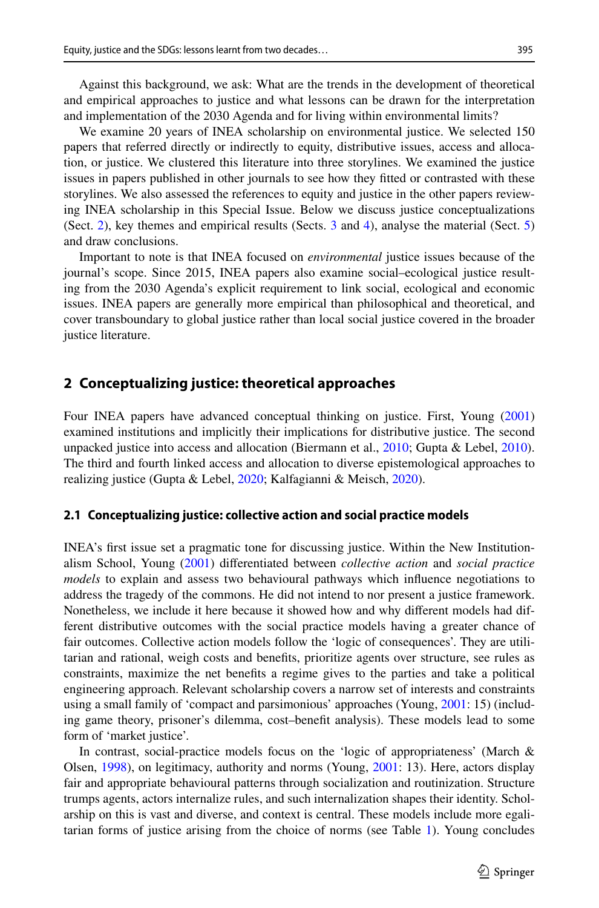Against this background, we ask: What are the trends in the development of theoretical and empirical approaches to justice and what lessons can be drawn for the interpretation and implementation of the 2030 Agenda and for living within environmental limits?

We examine 20 years of INEA scholarship on environmental justice. We selected 150 papers that referred directly or indirectly to equity, distributive issues, access and allocation, or justice. We clustered this literature into three storylines. We examined the justice issues in papers published in other journals to see how they ftted or contrasted with these storylines. We also assessed the references to equity and justice in the other papers reviewing INEA scholarship in this Special Issue. Below we discuss justice conceptualizations (Sect. [2](#page-2-0)), key themes and empirical results (Sects. [3](#page-4-0) and [4\)](#page-6-0), analyse the material (Sect. [5](#page-8-0)) and draw conclusions.

Important to note is that INEA focused on *environmental* justice issues because of the journal's scope. Since 2015, INEA papers also examine social–ecological justice resulting from the 2030 Agenda's explicit requirement to link social, ecological and economic issues. INEA papers are generally more empirical than philosophical and theoretical, and cover transboundary to global justice rather than local social justice covered in the broader justice literature.

# <span id="page-2-0"></span>**2 Conceptualizing justice: theoretical approaches**

Four INEA papers have advanced conceptual thinking on justice. First, Young [\(2001](#page-16-3)) examined institutions and implicitly their implications for distributive justice. The second unpacked justice into access and allocation (Biermann et al., [2010](#page-13-3); Gupta & Lebel, [2010](#page-14-0)). The third and fourth linked access and allocation to diverse epistemological approaches to realizing justice (Gupta & Lebel, [2020](#page-14-1); Kalfagianni & Meisch, [2020\)](#page-15-0).

#### <span id="page-2-1"></span>**2.1 Conceptualizing justice: collective action and social practice models**

INEA's frst issue set a pragmatic tone for discussing justice. Within the New Institutionalism School, Young [\(2001](#page-16-3)) diferentiated between *collective action* and *social practice models* to explain and assess two behavioural pathways which infuence negotiations to address the tragedy of the commons. He did not intend to nor present a justice framework. Nonetheless, we include it here because it showed how and why diferent models had different distributive outcomes with the social practice models having a greater chance of fair outcomes. Collective action models follow the 'logic of consequences'. They are utilitarian and rational, weigh costs and benefts, prioritize agents over structure, see rules as constraints, maximize the net benefts a regime gives to the parties and take a political engineering approach. Relevant scholarship covers a narrow set of interests and constraints using a small family of 'compact and parsimonious' approaches (Young, [2001:](#page-16-3) 15) (including game theory, prisoner's dilemma, cost–beneft analysis). These models lead to some form of 'market justice'.

In contrast, social-practice models focus on the 'logic of appropriateness' (March & Olsen, [1998](#page-15-1)), on legitimacy, authority and norms (Young, [2001:](#page-16-3) 13). Here, actors display fair and appropriate behavioural patterns through socialization and routinization. Structure trumps agents, actors internalize rules, and such internalization shapes their identity. Scholarship on this is vast and diverse, and context is central. These models include more egalitarian forms of justice arising from the choice of norms (see Table [1](#page-10-0)). Young concludes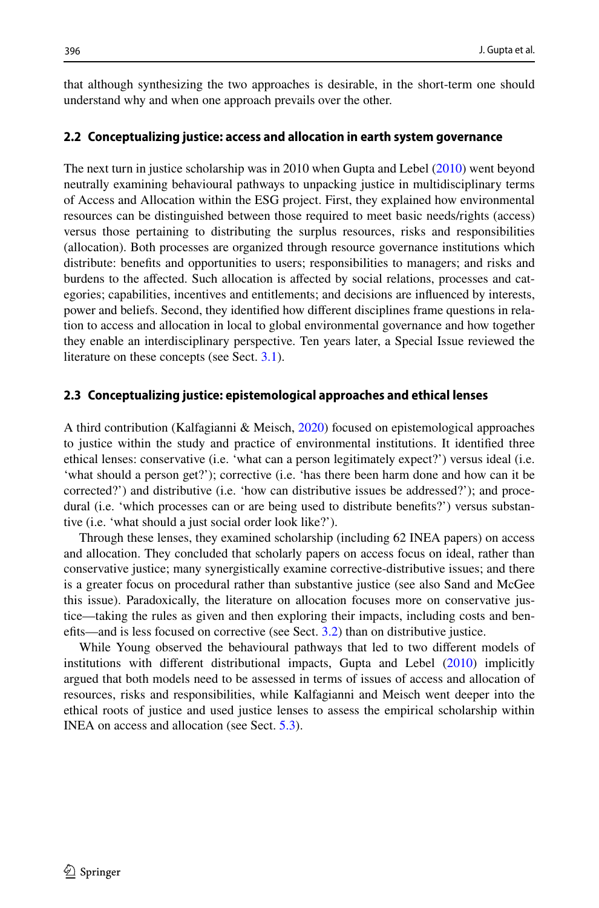that although synthesizing the two approaches is desirable, in the short-term one should understand why and when one approach prevails over the other.

#### <span id="page-3-0"></span>**2.2 Conceptualizing justice: access and allocation in earth system governance**

The next turn in justice scholarship was in 2010 when Gupta and Lebel [\(2010](#page-14-0)) went beyond neutrally examining behavioural pathways to unpacking justice in multidisciplinary terms of Access and Allocation within the ESG project. First, they explained how environmental resources can be distinguished between those required to meet basic needs/rights (access) versus those pertaining to distributing the surplus resources, risks and responsibilities (allocation). Both processes are organized through resource governance institutions which distribute: benefts and opportunities to users; responsibilities to managers; and risks and burdens to the afected. Such allocation is afected by social relations, processes and categories; capabilities, incentives and entitlements; and decisions are infuenced by interests, power and beliefs. Second, they identifed how diferent disciplines frame questions in relation to access and allocation in local to global environmental governance and how together they enable an interdisciplinary perspective. Ten years later, a Special Issue reviewed the literature on these concepts (see Sect. [3.1\)](#page-4-1).

#### **2.3 Conceptualizing justice: epistemological approaches and ethical lenses**

A third contribution (Kalfagianni & Meisch, [2020\)](#page-15-0) focused on epistemological approaches to justice within the study and practice of environmental institutions. It identifed three ethical lenses: conservative (i.e. 'what can a person legitimately expect?') versus ideal (i.e. 'what should a person get?'); corrective (i.e. 'has there been harm done and how can it be corrected?') and distributive (i.e. 'how can distributive issues be addressed?'); and procedural (i.e. 'which processes can or are being used to distribute benefts?') versus substantive (i.e. 'what should a just social order look like?').

Through these lenses, they examined scholarship (including 62 INEA papers) on access and allocation. They concluded that scholarly papers on access focus on ideal, rather than conservative justice; many synergistically examine corrective-distributive issues; and there is a greater focus on procedural rather than substantive justice (see also Sand and McGee this issue). Paradoxically, the literature on allocation focuses more on conservative justice—taking the rules as given and then exploring their impacts, including costs and benefts—and is less focused on corrective (see Sect. [3.2](#page-4-2)) than on distributive justice.

While Young observed the behavioural pathways that led to two diferent models of institutions with diferent distributional impacts, Gupta and Lebel [\(2010](#page-14-0)) implicitly argued that both models need to be assessed in terms of issues of access and allocation of resources, risks and responsibilities, while Kalfagianni and Meisch went deeper into the ethical roots of justice and used justice lenses to assess the empirical scholarship within INEA on access and allocation (see Sect. [5.3\)](#page-9-0).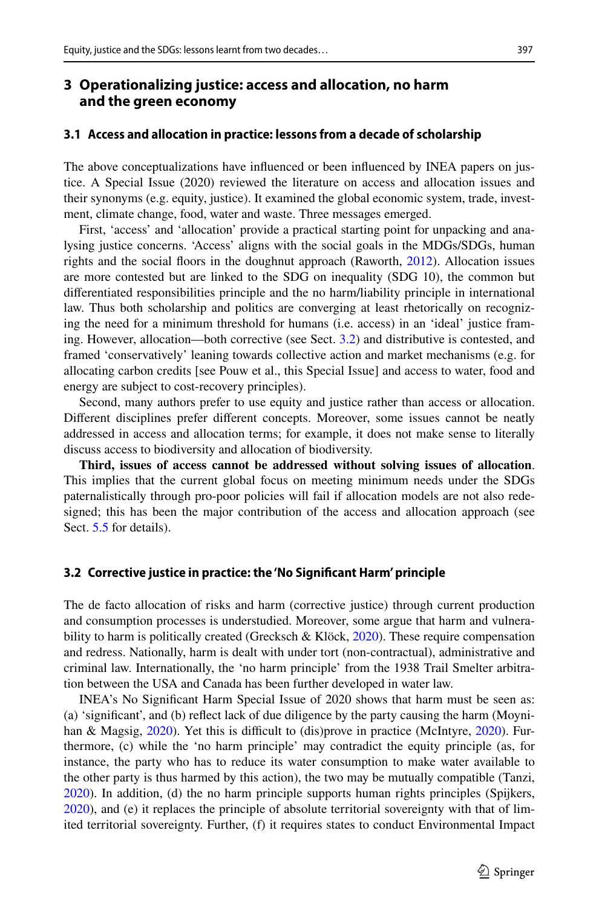# <span id="page-4-0"></span>**3 Operationalizing justice: access and allocation, no harm and the green economy**

#### <span id="page-4-1"></span>**3.1 Access and allocation in practice: lessons from a decade of scholarship**

The above conceptualizations have infuenced or been infuenced by INEA papers on justice. A Special Issue (2020) reviewed the literature on access and allocation issues and their synonyms (e.g. equity, justice). It examined the global economic system, trade, investment, climate change, food, water and waste. Three messages emerged.

First, 'access' and 'allocation' provide a practical starting point for unpacking and analysing justice concerns. 'Access' aligns with the social goals in the MDGs/SDGs, human rights and the social foors in the doughnut approach (Raworth, [2012\)](#page-15-2). Allocation issues are more contested but are linked to the SDG on inequality (SDG 10), the common but diferentiated responsibilities principle and the no harm/liability principle in international law. Thus both scholarship and politics are converging at least rhetorically on recognizing the need for a minimum threshold for humans (i.e. access) in an 'ideal' justice framing. However, allocation—both corrective (see Sect. [3.2](#page-4-2)) and distributive is contested, and framed 'conservatively' leaning towards collective action and market mechanisms (e.g. for allocating carbon credits [see Pouw et al., this Special Issue] and access to water, food and energy are subject to cost-recovery principles).

Second, many authors prefer to use equity and justice rather than access or allocation. Diferent disciplines prefer diferent concepts. Moreover, some issues cannot be neatly addressed in access and allocation terms; for example, it does not make sense to literally discuss access to biodiversity and allocation of biodiversity.

**Third, issues of access cannot be addressed without solving issues of allocation**. This implies that the current global focus on meeting minimum needs under the SDGs paternalistically through pro-poor policies will fail if allocation models are not also redesigned; this has been the major contribution of the access and allocation approach (see Sect. [5.5](#page-11-0) for details).

#### <span id="page-4-2"></span>**3.2 Corrective justice in practice: the 'No Signifcant Harm' principle**

The de facto allocation of risks and harm (corrective justice) through current production and consumption processes is understudied. Moreover, some argue that harm and vulnerability to harm is politically created (Grecksch & Klöck,  $2020$ ). These require compensation and redress. Nationally, harm is dealt with under tort (non-contractual), administrative and criminal law. Internationally, the 'no harm principle' from the 1938 Trail Smelter arbitration between the USA and Canada has been further developed in water law.

INEA's No Signifcant Harm Special Issue of 2020 shows that harm must be seen as: (a) 'signifcant', and (b) refect lack of due diligence by the party causing the harm (Moyni-han & Magsig, [2020\)](#page-15-4). Yet this is difficult to (dis)prove in practice (McIntyre, 2020). Furthermore, (c) while the 'no harm principle' may contradict the equity principle (as, for instance, the party who has to reduce its water consumption to make water available to the other party is thus harmed by this action), the two may be mutually compatible (Tanzi, [2020\)](#page-16-4). In addition, (d) the no harm principle supports human rights principles (Spijkers, [2020\)](#page-16-5), and (e) it replaces the principle of absolute territorial sovereignty with that of limited territorial sovereignty. Further, (f) it requires states to conduct Environmental Impact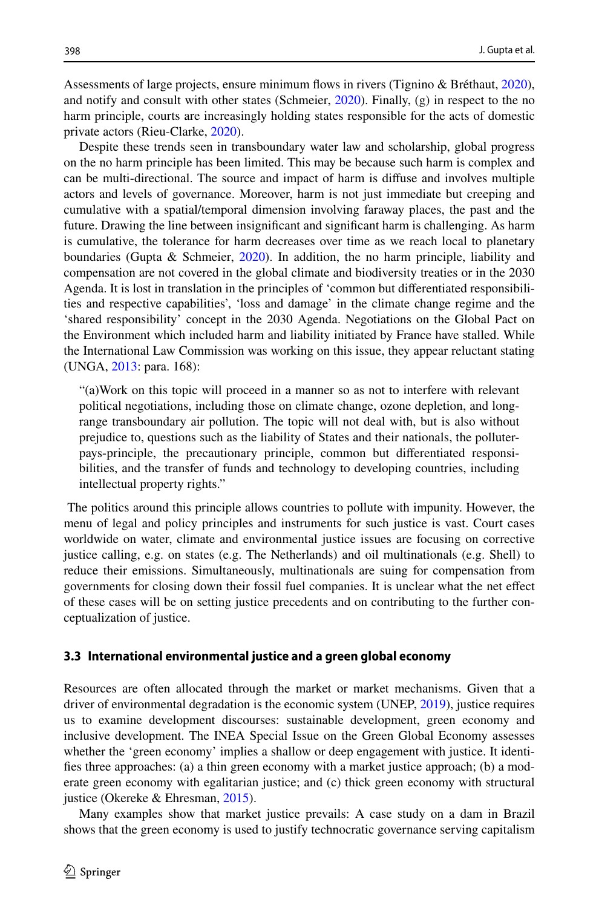Assessments of large projects, ensure minimum fows in rivers (Tignino & Bréthaut, [2020](#page-16-6)), and notify and consult with other states (Schmeier, [2020\)](#page-15-5). Finally, (g) in respect to the no harm principle, courts are increasingly holding states responsible for the acts of domestic private actors (Rieu-Clarke, [2020\)](#page-15-6).

Despite these trends seen in transboundary water law and scholarship, global progress on the no harm principle has been limited. This may be because such harm is complex and can be multi-directional. The source and impact of harm is difuse and involves multiple actors and levels of governance. Moreover, harm is not just immediate but creeping and cumulative with a spatial/temporal dimension involving faraway places, the past and the future. Drawing the line between insignifcant and signifcant harm is challenging. As harm is cumulative, the tolerance for harm decreases over time as we reach local to planetary boundaries (Gupta & Schmeier,  $2020$ ). In addition, the no harm principle, liability and compensation are not covered in the global climate and biodiversity treaties or in the 2030 Agenda. It is lost in translation in the principles of 'common but diferentiated responsibilities and respective capabilities', 'loss and damage' in the climate change regime and the 'shared responsibility' concept in the 2030 Agenda. Negotiations on the Global Pact on the Environment which included harm and liability initiated by France have stalled. While the International Law Commission was working on this issue, they appear reluctant stating (UNGA, [2013:](#page-16-7) para. 168):

"(a)Work on this topic will proceed in a manner so as not to interfere with relevant political negotiations, including those on climate change, ozone depletion, and longrange transboundary air pollution. The topic will not deal with, but is also without prejudice to, questions such as the liability of States and their nationals, the polluterpays-principle, the precautionary principle, common but diferentiated responsibilities, and the transfer of funds and technology to developing countries, including intellectual property rights."

 The politics around this principle allows countries to pollute with impunity. However, the menu of legal and policy principles and instruments for such justice is vast. Court cases worldwide on water, climate and environmental justice issues are focusing on corrective justice calling, e.g. on states (e.g. The Netherlands) and oil multinationals (e.g. Shell) to reduce their emissions. Simultaneously, multinationals are suing for compensation from governments for closing down their fossil fuel companies. It is unclear what the net efect of these cases will be on setting justice precedents and on contributing to the further conceptualization of justice.

#### **3.3 International environmental justice and a green global economy**

Resources are often allocated through the market or market mechanisms. Given that a driver of environmental degradation is the economic system (UNEP, [2019](#page-16-8)), justice requires us to examine development discourses: sustainable development, green economy and inclusive development. The INEA Special Issue on the Green Global Economy assesses whether the 'green economy' implies a shallow or deep engagement with justice. It identifes three approaches: (a) a thin green economy with a market justice approach; (b) a moderate green economy with egalitarian justice; and (c) thick green economy with structural justice (Okereke & Ehresman, [2015\)](#page-15-7).

Many examples show that market justice prevails: A case study on a dam in Brazil shows that the green economy is used to justify technocratic governance serving capitalism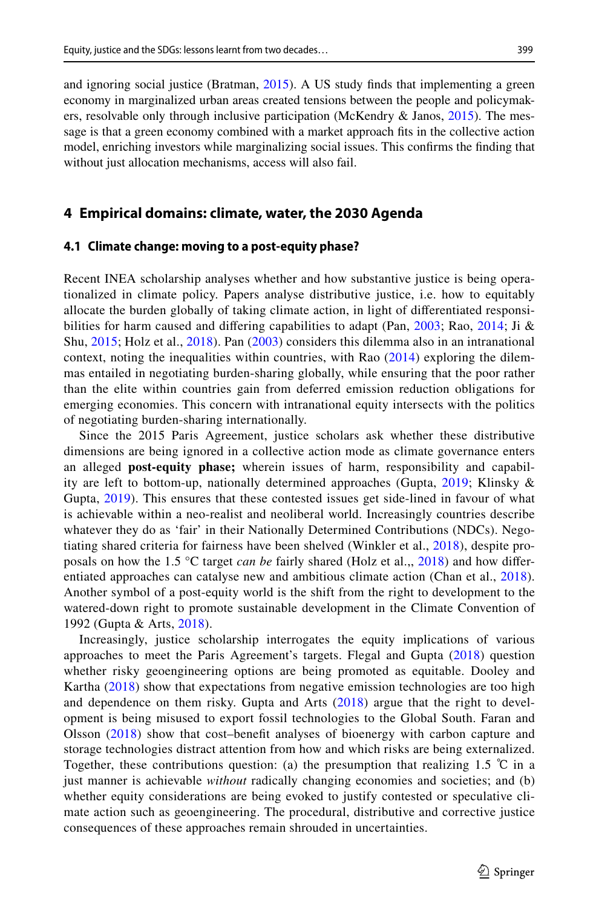and ignoring social justice (Bratman, [2015](#page-13-4)). A US study fnds that implementing a green economy in marginalized urban areas created tensions between the people and policymakers, resolvable only through inclusive participation (McKendry  $\&$  Janos, [2015\)](#page-15-8). The message is that a green economy combined with a market approach fts in the collective action model, enriching investors while marginalizing social issues. This confrms the fnding that without just allocation mechanisms, access will also fail.

### <span id="page-6-0"></span>**4 Empirical domains: climate, water, the 2030 Agenda**

#### <span id="page-6-1"></span>**4.1 Climate change: moving to a post‑equity phase?**

Recent INEA scholarship analyses whether and how substantive justice is being operationalized in climate policy. Papers analyse distributive justice, i.e. how to equitably allocate the burden globally of taking climate action, in light of diferentiated responsi-bilities for harm caused and differing capabilities to adapt (Pan, [2003](#page-15-9); Rao, [2014;](#page-15-10) Ji & Shu, [2015](#page-15-11); Holz et al., [2018\)](#page-14-4). Pan ([2003\)](#page-15-9) considers this dilemma also in an intranational context, noting the inequalities within countries, with Rao [\(2014\)](#page-15-10) exploring the dilemmas entailed in negotiating burden-sharing globally, while ensuring that the poor rather than the elite within countries gain from deferred emission reduction obligations for emerging economies. This concern with intranational equity intersects with the politics of negotiating burden-sharing internationally.

Since the 2015 Paris Agreement, justice scholars ask whether these distributive dimensions are being ignored in a collective action mode as climate governance enters an alleged **post-equity phase;** wherein issues of harm, responsibility and capability are left to bottom-up, nationally determined approaches (Gupta, [2019;](#page-14-5) Klinsky & Gupta, [2019\)](#page-15-12). This ensures that these contested issues get side-lined in favour of what is achievable within a neo-realist and neoliberal world. Increasingly countries describe whatever they do as 'fair' in their Nationally Determined Contributions (NDCs). Negotiating shared criteria for fairness have been shelved (Winkler et al., [2018](#page-16-9)), despite proposals on how the 1.5 °C target *can be* fairly shared (Holz et al.,, [2018](#page-14-4)) and how difer-entiated approaches can catalyse new and ambitious climate action (Chan et al., [2018\)](#page-13-5). Another symbol of a post-equity world is the shift from the right to development to the watered-down right to promote sustainable development in the Climate Convention of 1992 (Gupta & Arts, [2018](#page-14-6)).

Increasingly, justice scholarship interrogates the equity implications of various approaches to meet the Paris Agreement's targets. Flegal and Gupta ([2018](#page-14-7)) question whether risky geoengineering options are being promoted as equitable. Dooley and Kartha ([2018](#page-13-6)) show that expectations from negative emission technologies are too high and dependence on them risky. Gupta and Arts ([2018](#page-14-6)) argue that the right to development is being misused to export fossil technologies to the Global South. Faran and Olsson [\(2018\)](#page-14-8) show that cost–beneft analyses of bioenergy with carbon capture and storage technologies distract attention from how and which risks are being externalized. Together, these contributions question: (a) the presumption that realizing 1.5  $\degree$ C in a just manner is achievable *without* radically changing economies and societies; and (b) whether equity considerations are being evoked to justify contested or speculative climate action such as geoengineering. The procedural, distributive and corrective justice consequences of these approaches remain shrouded in uncertainties.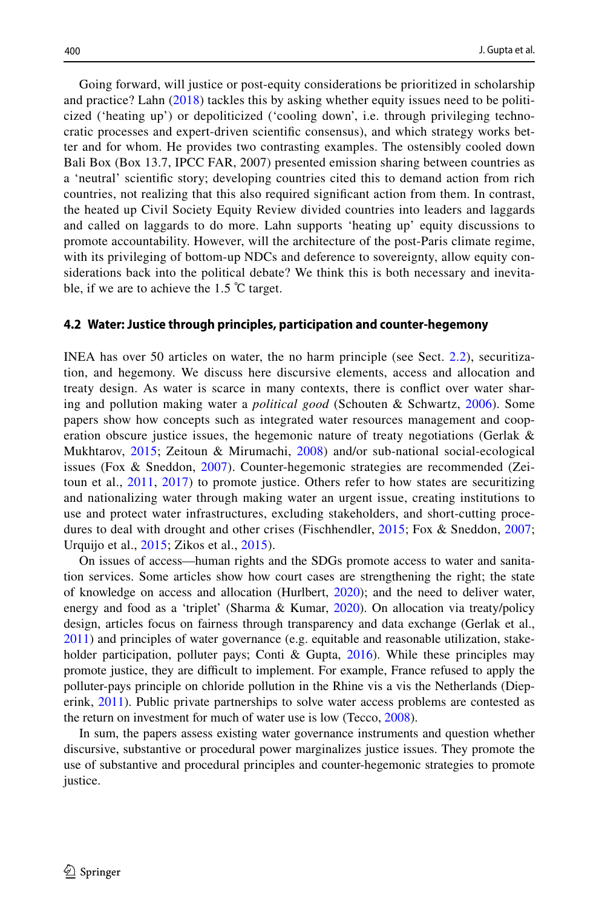Going forward, will justice or post-equity considerations be prioritized in scholarship and practice? Lahn ([2018\)](#page-15-13) tackles this by asking whether equity issues need to be politicized ('heating up') or depoliticized ('cooling down', i.e. through privileging technocratic processes and expert-driven scientifc consensus), and which strategy works better and for whom. He provides two contrasting examples. The ostensibly cooled down Bali Box (Box 13.7, IPCC FAR, 2007) presented emission sharing between countries as a 'neutral' scientifc story; developing countries cited this to demand action from rich countries, not realizing that this also required signifcant action from them. In contrast, the heated up Civil Society Equity Review divided countries into leaders and laggards and called on laggards to do more. Lahn supports 'heating up' equity discussions to promote accountability. However, will the architecture of the post-Paris climate regime, with its privileging of bottom-up NDCs and deference to sovereignty, allow equity considerations back into the political debate? We think this is both necessary and inevitable, if we are to achieve the 1.5 ℃ target.

#### **4.2 Water: Justice through principles, participation and counter‑hegemony**

INEA has over 50 articles on water, the no harm principle (see Sect. [2.2](#page-3-0)), securitization, and hegemony. We discuss here discursive elements, access and allocation and treaty design. As water is scarce in many contexts, there is confict over water sharing and pollution making water a *political good* (Schouten & Schwartz, [2006](#page-15-14)). Some papers show how concepts such as integrated water resources management and cooperation obscure justice issues, the hegemonic nature of treaty negotiations (Gerlak  $\&$ Mukhtarov, [2015](#page-14-9); Zeitoun & Mirumachi, [2008](#page-16-10)) and/or sub-national social-ecological issues (Fox & Sneddon, [2007](#page-14-10)). Counter-hegemonic strategies are recommended (Zeitoun et al., [2011](#page-16-11), [2017\)](#page-16-12) to promote justice. Others refer to how states are securitizing and nationalizing water through making water an urgent issue, creating institutions to use and protect water infrastructures, excluding stakeholders, and short-cutting procedures to deal with drought and other crises (Fischhendler, [2015](#page-14-11); Fox & Sneddon, [2007;](#page-14-10) Urquijo et al., [2015;](#page-16-13) Zikos et al., [2015\)](#page-16-14).

On issues of access—human rights and the SDGs promote access to water and sanitation services. Some articles show how court cases are strengthening the right; the state of knowledge on access and allocation (Hurlbert, [2020](#page-14-12)); and the need to deliver water, energy and food as a 'triplet' (Sharma & Kumar, [2020\)](#page-16-15). On allocation via treaty/policy design, articles focus on fairness through transparency and data exchange (Gerlak et al., [2011\)](#page-14-13) and principles of water governance (e.g. equitable and reasonable utilization, stake-holder participation, polluter pays; Conti & Gupta, [2016\)](#page-13-7). While these principles may promote justice, they are difcult to implement. For example, France refused to apply the polluter-pays principle on chloride pollution in the Rhine vis a vis the Netherlands (Dieperink, [2011](#page-13-8)). Public private partnerships to solve water access problems are contested as the return on investment for much of water use is low (Tecco, [2008](#page-16-16)).

In sum, the papers assess existing water governance instruments and question whether discursive, substantive or procedural power marginalizes justice issues. They promote the use of substantive and procedural principles and counter-hegemonic strategies to promote justice.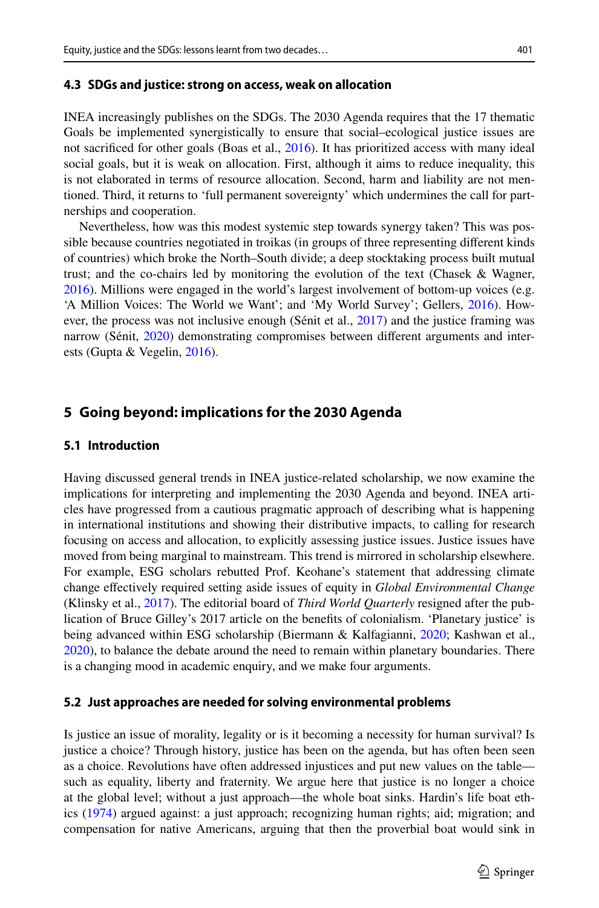#### **4.3 SDGs and justice: strong on access, weak on allocation**

INEA increasingly publishes on the SDGs. The 2030 Agenda requires that the 17 thematic Goals be implemented synergistically to ensure that social–ecological justice issues are not sacrifced for other goals (Boas et al., [2016](#page-13-9)). It has prioritized access with many ideal social goals, but it is weak on allocation. First, although it aims to reduce inequality, this is not elaborated in terms of resource allocation. Second, harm and liability are not mentioned. Third, it returns to 'full permanent sovereignty' which undermines the call for partnerships and cooperation.

Nevertheless, how was this modest systemic step towards synergy taken? This was possible because countries negotiated in troikas (in groups of three representing diferent kinds of countries) which broke the North–South divide; a deep stocktaking process built mutual trust; and the co-chairs led by monitoring the evolution of the text (Chasek & Wagner, [2016\)](#page-13-10). Millions were engaged in the world's largest involvement of bottom-up voices (e.g. 'A Million Voices: The World we Want'; and 'My World Survey'; Gellers, [2016\)](#page-14-14). How-ever, the process was not inclusive enough (Sénit et al., [2017](#page-16-17)) and the justice framing was narrow (Sénit, [2020](#page-16-18)) demonstrating compromises between diferent arguments and interests (Gupta & Vegelin, [2016\)](#page-14-15).

# <span id="page-8-0"></span>**5 Going beyond: implications for the 2030 Agenda**

#### **5.1 Introduction**

Having discussed general trends in INEA justice-related scholarship, we now examine the implications for interpreting and implementing the 2030 Agenda and beyond. INEA articles have progressed from a cautious pragmatic approach of describing what is happening in international institutions and showing their distributive impacts, to calling for research focusing on access and allocation, to explicitly assessing justice issues. Justice issues have moved from being marginal to mainstream. This trend is mirrored in scholarship elsewhere. For example, ESG scholars rebutted Prof. Keohane's statement that addressing climate change efectively required setting aside issues of equity in *Global Environmental Change* (Klinsky et al., [2017\)](#page-15-15). The editorial board of *Third World Quarterly* resigned after the publication of Bruce Gilley's 2017 article on the benefts of colonialism. 'Planetary justice' is being advanced within ESG scholarship (Biermann & Kalfagianni, [2020](#page-13-2); Kashwan et al., [2020\)](#page-15-16), to balance the debate around the need to remain within planetary boundaries. There is a changing mood in academic enquiry, and we make four arguments.

#### **5.2 Just approaches are needed for solving environmental problems**

Is justice an issue of morality, legality or is it becoming a necessity for human survival? Is justice a choice? Through history, justice has been on the agenda, but has often been seen as a choice. Revolutions have often addressed injustices and put new values on the table such as equality, liberty and fraternity. We argue here that justice is no longer a choice at the global level; without a just approach—the whole boat sinks. Hardin's life boat ethics ([1974\)](#page-14-16) argued against: a just approach; recognizing human rights; aid; migration; and compensation for native Americans, arguing that then the proverbial boat would sink in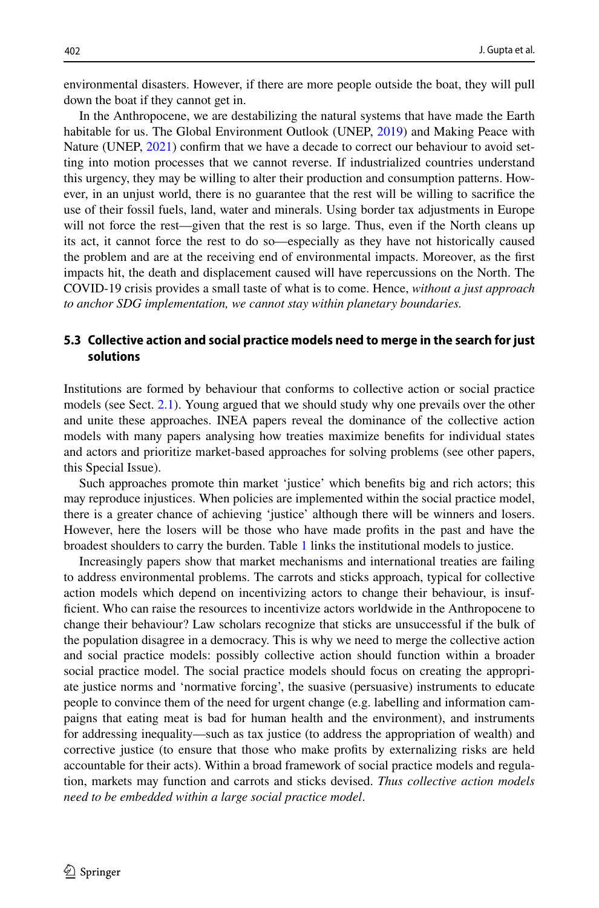environmental disasters. However, if there are more people outside the boat, they will pull down the boat if they cannot get in.

In the Anthropocene, we are destabilizing the natural systems that have made the Earth habitable for us. The Global Environment Outlook (UNEP, [2019\)](#page-16-8) and Making Peace with Nature (UNEP, [2021](#page-16-19)) confirm that we have a decade to correct our behaviour to avoid setting into motion processes that we cannot reverse. If industrialized countries understand this urgency, they may be willing to alter their production and consumption patterns. However, in an unjust world, there is no guarantee that the rest will be willing to sacrifce the use of their fossil fuels, land, water and minerals. Using border tax adjustments in Europe will not force the rest—given that the rest is so large. Thus, even if the North cleans up its act, it cannot force the rest to do so—especially as they have not historically caused the problem and are at the receiving end of environmental impacts. Moreover, as the frst impacts hit, the death and displacement caused will have repercussions on the North. The COVID-19 crisis provides a small taste of what is to come. Hence, *without a just approach to anchor SDG implementation, we cannot stay within planetary boundaries.*

# <span id="page-9-0"></span>**5.3 Collective action and social practice models need to merge in the search for just solutions**

Institutions are formed by behaviour that conforms to collective action or social practice models (see Sect. [2.1\)](#page-2-1). Young argued that we should study why one prevails over the other and unite these approaches. INEA papers reveal the dominance of the collective action models with many papers analysing how treaties maximize benefts for individual states and actors and prioritize market-based approaches for solving problems (see other papers, this Special Issue).

Such approaches promote thin market 'justice' which benefts big and rich actors; this may reproduce injustices. When policies are implemented within the social practice model, there is a greater chance of achieving 'justice' although there will be winners and losers. However, here the losers will be those who have made profts in the past and have the broadest shoulders to carry the burden. Table [1](#page-10-0) links the institutional models to justice.

Increasingly papers show that market mechanisms and international treaties are failing to address environmental problems. The carrots and sticks approach, typical for collective action models which depend on incentivizing actors to change their behaviour, is insufficient. Who can raise the resources to incentivize actors worldwide in the Anthropocene to change their behaviour? Law scholars recognize that sticks are unsuccessful if the bulk of the population disagree in a democracy. This is why we need to merge the collective action and social practice models: possibly collective action should function within a broader social practice model. The social practice models should focus on creating the appropriate justice norms and 'normative forcing', the suasive (persuasive) instruments to educate people to convince them of the need for urgent change (e.g. labelling and information campaigns that eating meat is bad for human health and the environment), and instruments for addressing inequality—such as tax justice (to address the appropriation of wealth) and corrective justice (to ensure that those who make profts by externalizing risks are held accountable for their acts). Within a broad framework of social practice models and regulation, markets may function and carrots and sticks devised. *Thus collective action models need to be embedded within a large social practice model*.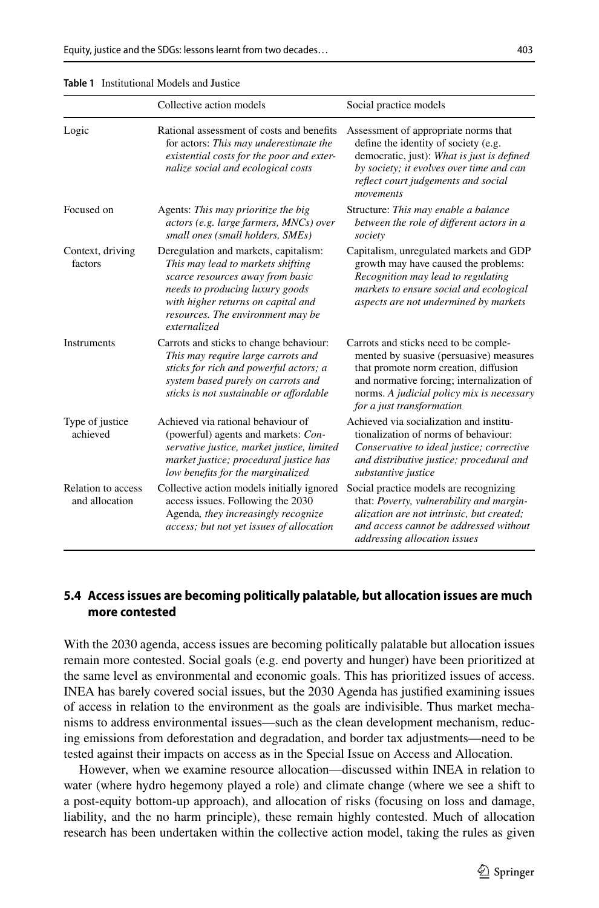<span id="page-10-0"></span>

|  |  |  |  |  |  |  |  |  |  |  |  |  | <b>Table 1</b> Institutional Models and Justice |  |
|--|--|--|--|--|--|--|--|--|--|--|--|--|-------------------------------------------------|--|
|--|--|--|--|--|--|--|--|--|--|--|--|--|-------------------------------------------------|--|

|                                      | Collective action models                                                                                                                                                                                                                     | Social practice models                                                                                                                                                                                                                           |
|--------------------------------------|----------------------------------------------------------------------------------------------------------------------------------------------------------------------------------------------------------------------------------------------|--------------------------------------------------------------------------------------------------------------------------------------------------------------------------------------------------------------------------------------------------|
| Logic                                | Rational assessment of costs and benefits<br>for actors: This may underestimate the<br>existential costs for the poor and exter-<br>nalize social and ecological costs                                                                       | Assessment of appropriate norms that<br>define the identity of society (e.g.<br>democratic, just): What is just is defined<br>by society; it evolves over time and can<br>reflect court judgements and social<br>movements                       |
| Focused on                           | Agents: This may prioritize the big<br>actors (e.g. large farmers, MNCs) over<br>small ones (small holders, SMEs)                                                                                                                            | Structure: This may enable a balance<br>between the role of different actors in a<br>society                                                                                                                                                     |
| Context, driving<br>factors          | Deregulation and markets, capitalism:<br>This may lead to markets shifting<br>scarce resources away from basic<br>needs to producing luxury goods<br>with higher returns on capital and<br>resources. The environment may be<br>externalized | Capitalism, unregulated markets and GDP<br>growth may have caused the problems:<br>Recognition may lead to regulating<br>markets to ensure social and ecological<br>aspects are not undermined by markets                                        |
| <b>Instruments</b>                   | Carrots and sticks to change behaviour:<br>This may require large carrots and<br>sticks for rich and powerful actors; a<br>system based purely on carrots and<br>sticks is not sustainable or affordable                                     | Carrots and sticks need to be comple-<br>mented by suasive (persuasive) measures<br>that promote norm creation, diffusion<br>and normative forcing; internalization of<br>norms. A judicial policy mix is necessary<br>for a just transformation |
| Type of justice<br>achieved          | Achieved via rational behaviour of<br>(powerful) agents and markets: Con-<br>servative justice, market justice, limited<br>market justice; procedural justice has<br>low benefits for the marginalized                                       | Achieved via socialization and institu-<br>tionalization of norms of behaviour:<br>Conservative to ideal justice; corrective<br>and distributive justice; procedural and<br>substantive justice                                                  |
| Relation to access<br>and allocation | Collective action models initially ignored<br>access issues. Following the 2030<br>Agenda, they increasingly recognize<br>access; but not yet issues of allocation                                                                           | Social practice models are recognizing<br>that: Poverty, vulnerability and margin-<br>alization are not intrinsic, but created;<br>and access cannot be addressed without<br>addressing allocation issues                                        |

# **5.4 Access issues are becoming politically palatable, but allocation issues are much more contested**

With the 2030 agenda, access issues are becoming politically palatable but allocation issues remain more contested. Social goals (e.g. end poverty and hunger) have been prioritized at the same level as environmental and economic goals. This has prioritized issues of access. INEA has barely covered social issues, but the 2030 Agenda has justifed examining issues of access in relation to the environment as the goals are indivisible. Thus market mechanisms to address environmental issues—such as the clean development mechanism, reducing emissions from deforestation and degradation, and border tax adjustments—need to be tested against their impacts on access as in the Special Issue on Access and Allocation.

However, when we examine resource allocation—discussed within INEA in relation to water (where hydro hegemony played a role) and climate change (where we see a shift to a post-equity bottom-up approach), and allocation of risks (focusing on loss and damage, liability, and the no harm principle), these remain highly contested. Much of allocation research has been undertaken within the collective action model, taking the rules as given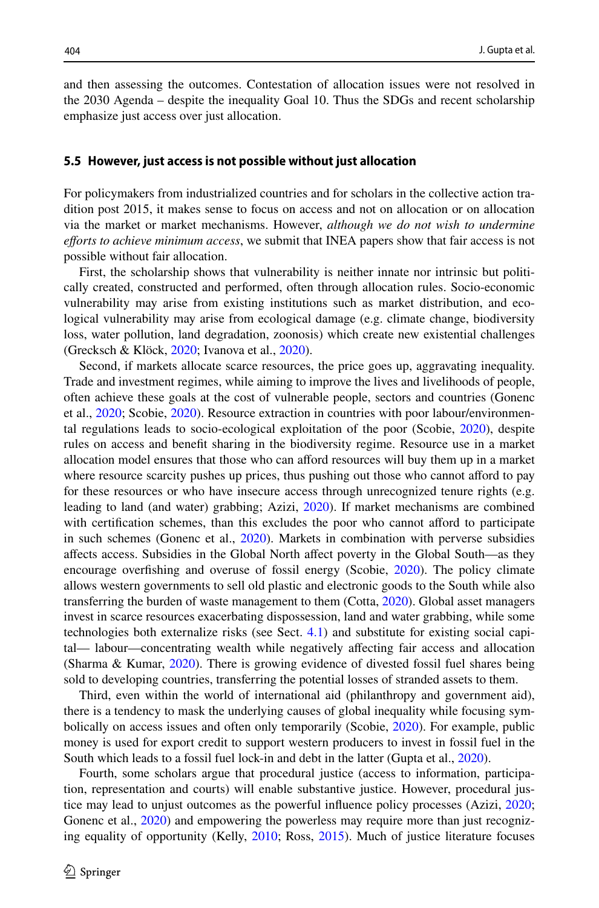and then assessing the outcomes. Contestation of allocation issues were not resolved in the 2030 Agenda – despite the inequality Goal 10. Thus the SDGs and recent scholarship emphasize just access over just allocation.

#### <span id="page-11-0"></span>**5.5 However, just access is not possible without just allocation**

For policymakers from industrialized countries and for scholars in the collective action tradition post 2015, it makes sense to focus on access and not on allocation or on allocation via the market or market mechanisms. However, *although we do not wish to undermine eforts to achieve minimum access*, we submit that INEA papers show that fair access is not possible without fair allocation.

First, the scholarship shows that vulnerability is neither innate nor intrinsic but politically created, constructed and performed, often through allocation rules. Socio-economic vulnerability may arise from existing institutions such as market distribution, and ecological vulnerability may arise from ecological damage (e.g. climate change, biodiversity loss, water pollution, land degradation, zoonosis) which create new existential challenges (Grecksch & Klöck, [2020](#page-14-2); Ivanova et al., [2020\)](#page-14-17).

Second, if markets allocate scarce resources, the price goes up, aggravating inequality. Trade and investment regimes, while aiming to improve the lives and livelihoods of people, often achieve these goals at the cost of vulnerable people, sectors and countries (Gonenc et al., [2020](#page-14-18); Scobie, [2020](#page-15-17)). Resource extraction in countries with poor labour/environmental regulations leads to socio-ecological exploitation of the poor (Scobie, [2020\)](#page-15-17), despite rules on access and beneft sharing in the biodiversity regime. Resource use in a market allocation model ensures that those who can aford resources will buy them up in a market where resource scarcity pushes up prices, thus pushing out those who cannot afford to pay for these resources or who have insecure access through unrecognized tenure rights (e.g. leading to land (and water) grabbing; Azizi, [2020\)](#page-13-11). If market mechanisms are combined with certification schemes, than this excludes the poor who cannot afford to participate in such schemes (Gonenc et al., [2020](#page-14-18)). Markets in combination with perverse subsidies afects access. Subsidies in the Global North afect poverty in the Global South—as they encourage overfshing and overuse of fossil energy (Scobie, [2020](#page-15-17)). The policy climate allows western governments to sell old plastic and electronic goods to the South while also transferring the burden of waste management to them (Cotta, [2020\)](#page-13-12). Global asset managers invest in scarce resources exacerbating dispossession, land and water grabbing, while some technologies both externalize risks (see Sect. [4.1](#page-6-1)) and substitute for existing social capital— labour—concentrating wealth while negatively afecting fair access and allocation (Sharma & Kumar, [2020](#page-16-15)). There is growing evidence of divested fossil fuel shares being sold to developing countries, transferring the potential losses of stranded assets to them.

Third, even within the world of international aid (philanthropy and government aid), there is a tendency to mask the underlying causes of global inequality while focusing symbolically on access issues and often only temporarily (Scobie, [2020](#page-15-17)). For example, public money is used for export credit to support western producers to invest in fossil fuel in the South which leads to a fossil fuel lock-in and debt in the latter (Gupta et al., [2020](#page-14-19)).

Fourth, some scholars argue that procedural justice (access to information, participation, representation and courts) will enable substantive justice. However, procedural justice may lead to unjust outcomes as the powerful infuence policy processes (Azizi, [2020;](#page-13-11) Gonenc et al., [2020](#page-14-18)) and empowering the powerless may require more than just recognizing equality of opportunity (Kelly, [2010;](#page-15-18) Ross, [2015\)](#page-15-19). Much of justice literature focuses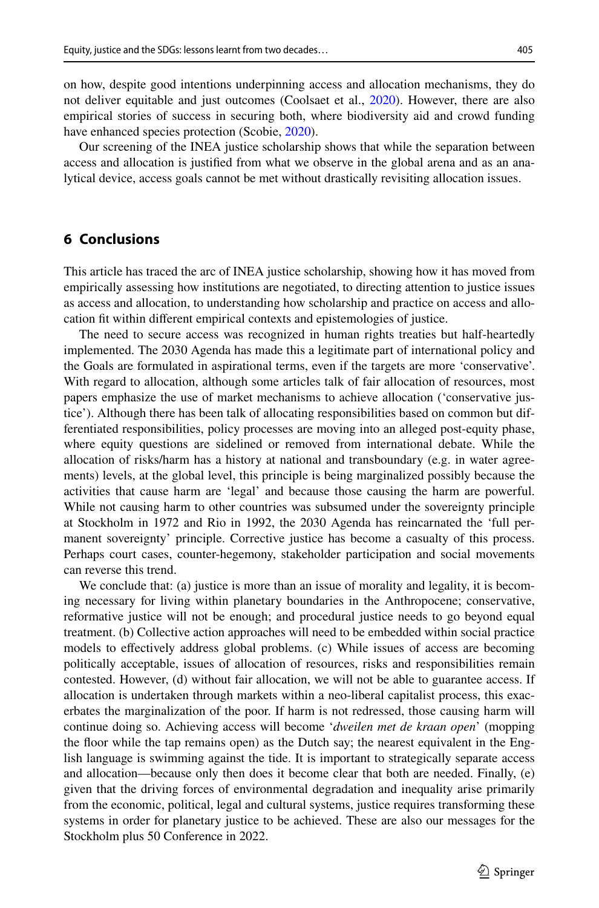on how, despite good intentions underpinning access and allocation mechanisms, they do not deliver equitable and just outcomes (Coolsaet et al., [2020](#page-13-13)). However, there are also empirical stories of success in securing both, where biodiversity aid and crowd funding have enhanced species protection (Scobie, [2020](#page-15-17)).

Our screening of the INEA justice scholarship shows that while the separation between access and allocation is justifed from what we observe in the global arena and as an analytical device, access goals cannot be met without drastically revisiting allocation issues.

# **6 Conclusions**

This article has traced the arc of INEA justice scholarship, showing how it has moved from empirically assessing how institutions are negotiated, to directing attention to justice issues as access and allocation, to understanding how scholarship and practice on access and allocation ft within diferent empirical contexts and epistemologies of justice.

The need to secure access was recognized in human rights treaties but half-heartedly implemented. The 2030 Agenda has made this a legitimate part of international policy and the Goals are formulated in aspirational terms, even if the targets are more 'conservative'. With regard to allocation, although some articles talk of fair allocation of resources, most papers emphasize the use of market mechanisms to achieve allocation ('conservative justice'). Although there has been talk of allocating responsibilities based on common but differentiated responsibilities, policy processes are moving into an alleged post-equity phase, where equity questions are sidelined or removed from international debate. While the allocation of risks/harm has a history at national and transboundary (e.g. in water agreements) levels, at the global level, this principle is being marginalized possibly because the activities that cause harm are 'legal' and because those causing the harm are powerful. While not causing harm to other countries was subsumed under the sovereignty principle at Stockholm in 1972 and Rio in 1992, the 2030 Agenda has reincarnated the 'full permanent sovereignty' principle. Corrective justice has become a casualty of this process. Perhaps court cases, counter-hegemony, stakeholder participation and social movements can reverse this trend.

We conclude that: (a) justice is more than an issue of morality and legality, it is becoming necessary for living within planetary boundaries in the Anthropocene; conservative, reformative justice will not be enough; and procedural justice needs to go beyond equal treatment. (b) Collective action approaches will need to be embedded within social practice models to efectively address global problems. (c) While issues of access are becoming politically acceptable, issues of allocation of resources, risks and responsibilities remain contested. However, (d) without fair allocation, we will not be able to guarantee access. If allocation is undertaken through markets within a neo-liberal capitalist process, this exacerbates the marginalization of the poor. If harm is not redressed, those causing harm will continue doing so. Achieving access will become '*dweilen met de kraan open*' (mopping the foor while the tap remains open) as the Dutch say; the nearest equivalent in the English language is swimming against the tide. It is important to strategically separate access and allocation—because only then does it become clear that both are needed. Finally, (e) given that the driving forces of environmental degradation and inequality arise primarily from the economic, political, legal and cultural systems, justice requires transforming these systems in order for planetary justice to be achieved. These are also our messages for the Stockholm plus 50 Conference in 2022.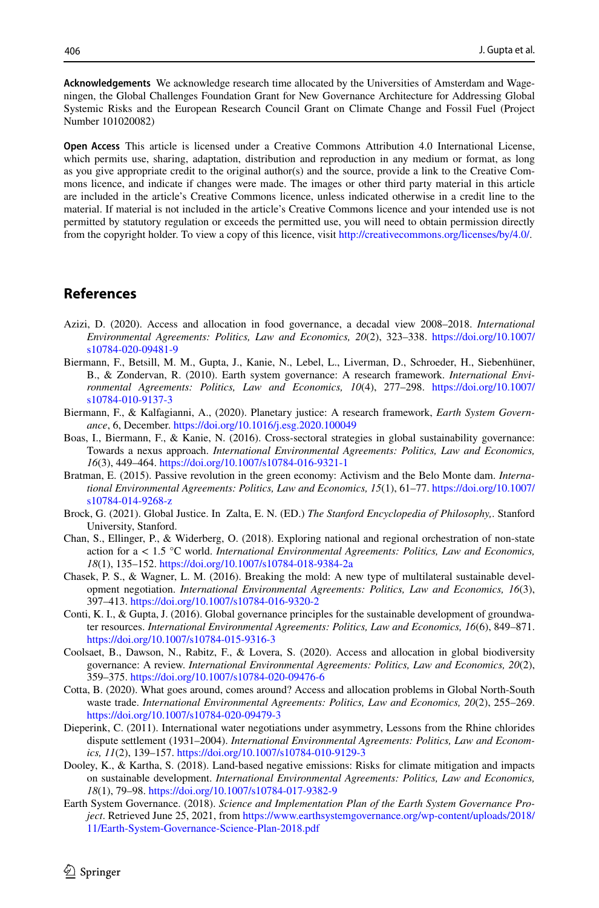**Acknowledgements** We acknowledge research time allocated by the Universities of Amsterdam and Wageningen, the Global Challenges Foundation Grant for New Governance Architecture for Addressing Global Systemic Risks and the European Research Council Grant on Climate Change and Fossil Fuel (Project Number 101020082)

**Open Access** This article is licensed under a Creative Commons Attribution 4.0 International License, which permits use, sharing, adaptation, distribution and reproduction in any medium or format, as long as you give appropriate credit to the original author(s) and the source, provide a link to the Creative Commons licence, and indicate if changes were made. The images or other third party material in this article are included in the article's Creative Commons licence, unless indicated otherwise in a credit line to the material. If material is not included in the article's Creative Commons licence and your intended use is not permitted by statutory regulation or exceeds the permitted use, you will need to obtain permission directly from the copyright holder. To view a copy of this licence, visit [http://creativecommons.org/licenses/by/4.0/.](http://creativecommons.org/licenses/by/4.0/)

# **References**

- <span id="page-13-11"></span>Azizi, D. (2020). Access and allocation in food governance, a decadal view 2008–2018. *International Environmental Agreements: Politics, Law and Economics, 20*(2), 323–338. [https://doi.org/10.1007/](https://doi.org/10.1007/s10784-020-09481-9) [s10784-020-09481-9](https://doi.org/10.1007/s10784-020-09481-9)
- <span id="page-13-3"></span>Biermann, F., Betsill, M. M., Gupta, J., Kanie, N., Lebel, L., Liverman, D., Schroeder, H., Siebenhüner, B., & Zondervan, R. (2010). Earth system governance: A research framework. *International Environmental Agreements: Politics, Law and Economics, 10*(4), 277–298. [https://doi.org/10.1007/](https://doi.org/10.1007/s10784-010-9137-3) [s10784-010-9137-3](https://doi.org/10.1007/s10784-010-9137-3)
- <span id="page-13-2"></span>Biermann, F., & Kalfagianni, A., (2020). Planetary justice: A research framework, *Earth System Governance*, 6, December.<https://doi.org/10.1016/j.esg.2020.100049>
- <span id="page-13-9"></span>Boas, I., Biermann, F., & Kanie, N. (2016). Cross-sectoral strategies in global sustainability governance: Towards a nexus approach. *International Environmental Agreements: Politics, Law and Economics, 16*(3), 449–464.<https://doi.org/10.1007/s10784-016-9321-1>
- <span id="page-13-4"></span>Bratman, E. (2015). Passive revolution in the green economy: Activism and the Belo Monte dam. *International Environmental Agreements: Politics, Law and Economics, 15*(1), 61–77. [https://doi.org/10.1007/](https://doi.org/10.1007/s10784-014-9268-z) [s10784-014-9268-z](https://doi.org/10.1007/s10784-014-9268-z)
- <span id="page-13-1"></span>Brock, G. (2021). Global Justice. In Zalta, E. N. (ED.) *The Stanford Encyclopedia of Philosophy,*. Stanford University, Stanford.
- <span id="page-13-5"></span>Chan, S., Ellinger, P., & Widerberg, O. (2018). Exploring national and regional orchestration of non-state action for a < 1.5 °C world. *International Environmental Agreements: Politics, Law and Economics, 18*(1), 135–152.<https://doi.org/10.1007/s10784-018-9384-2a>
- <span id="page-13-10"></span>Chasek, P. S., & Wagner, L. M. (2016). Breaking the mold: A new type of multilateral sustainable development negotiation. *International Environmental Agreements: Politics, Law and Economics, 16*(3), 397–413. <https://doi.org/10.1007/s10784-016-9320-2>
- <span id="page-13-7"></span>Conti, K. I., & Gupta, J. (2016). Global governance principles for the sustainable development of groundwater resources. *International Environmental Agreements: Politics, Law and Economics, 16*(6), 849–871. <https://doi.org/10.1007/s10784-015-9316-3>
- <span id="page-13-13"></span>Coolsaet, B., Dawson, N., Rabitz, F., & Lovera, S. (2020). Access and allocation in global biodiversity governance: A review. *International Environmental Agreements: Politics, Law and Economics, 20*(2), 359–375. <https://doi.org/10.1007/s10784-020-09476-6>
- <span id="page-13-12"></span>Cotta, B. (2020). What goes around, comes around? Access and allocation problems in Global North-South waste trade. *International Environmental Agreements: Politics, Law and Economics, 20*(2), 255–269. <https://doi.org/10.1007/s10784-020-09479-3>
- <span id="page-13-8"></span>Dieperink, C. (2011). International water negotiations under asymmetry, Lessons from the Rhine chlorides dispute settlement (1931–2004). *International Environmental Agreements: Politics, Law and Economics, 11*(2), 139–157. <https://doi.org/10.1007/s10784-010-9129-3>
- <span id="page-13-6"></span>Dooley, K., & Kartha, S. (2018). Land-based negative emissions: Risks for climate mitigation and impacts on sustainable development. *International Environmental Agreements: Politics, Law and Economics, 18*(1), 79–98.<https://doi.org/10.1007/s10784-017-9382-9>
- <span id="page-13-0"></span>Earth System Governance. (2018). *Science and Implementation Plan of the Earth System Governance Project*. Retrieved June 25, 2021, from [https://www.earthsystemgovernance.org/wp-content/uploads/2018/](https://www.earthsystemgovernance.org/wp-content/uploads/2018/11/Earth-System-Governance-Science-Plan-2018.pdf) [11/Earth-System-Governance-Science-Plan-2018.pdf](https://www.earthsystemgovernance.org/wp-content/uploads/2018/11/Earth-System-Governance-Science-Plan-2018.pdf)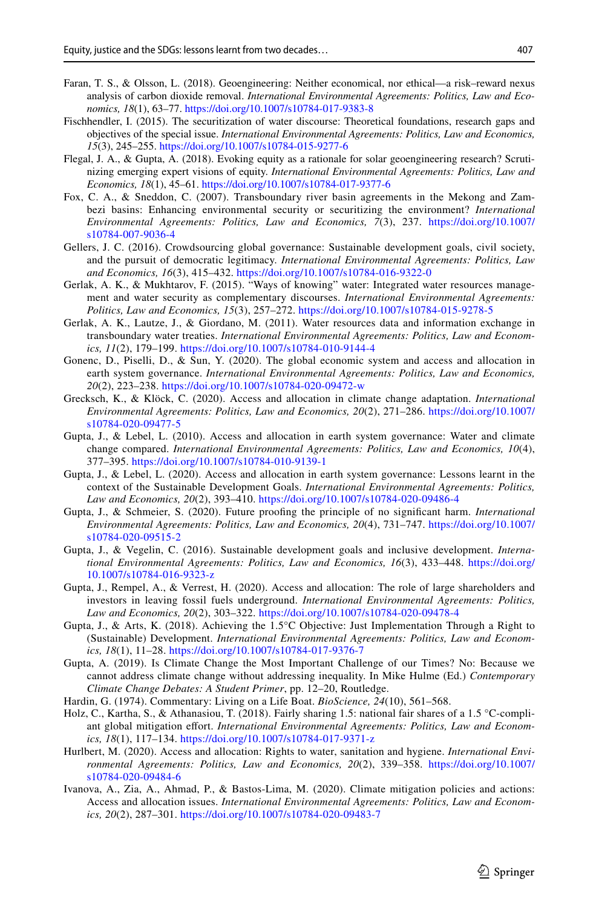- <span id="page-14-8"></span>Faran, T. S., & Olsson, L. (2018). Geoengineering: Neither economical, nor ethical—a risk–reward nexus analysis of carbon dioxide removal. *International Environmental Agreements: Politics, Law and Economics, 18*(1), 63–77. <https://doi.org/10.1007/s10784-017-9383-8>
- <span id="page-14-11"></span>Fischhendler, I. (2015). The securitization of water discourse: Theoretical foundations, research gaps and objectives of the special issue. *International Environmental Agreements: Politics, Law and Economics, 15*(3), 245–255.<https://doi.org/10.1007/s10784-015-9277-6>
- <span id="page-14-7"></span>Flegal, J. A., & Gupta, A. (2018). Evoking equity as a rationale for solar geoengineering research? Scrutinizing emerging expert visions of equity. *International Environmental Agreements: Politics, Law and Economics, 18*(1), 45–61.<https://doi.org/10.1007/s10784-017-9377-6>
- <span id="page-14-10"></span>Fox, C. A., & Sneddon, C. (2007). Transboundary river basin agreements in the Mekong and Zambezi basins: Enhancing environmental security or securitizing the environment? *International Environmental Agreements: Politics, Law and Economics, 7*(3), 237. [https://doi.org/10.1007/](https://doi.org/10.1007/s10784-007-9036-4) [s10784-007-9036-4](https://doi.org/10.1007/s10784-007-9036-4)
- <span id="page-14-14"></span>Gellers, J. C. (2016). Crowdsourcing global governance: Sustainable development goals, civil society, and the pursuit of democratic legitimacy. *International Environmental Agreements: Politics, Law and Economics, 16*(3), 415–432. <https://doi.org/10.1007/s10784-016-9322-0>
- <span id="page-14-9"></span>Gerlak, A. K., & Mukhtarov, F. (2015). "Ways of knowing" water: Integrated water resources management and water security as complementary discourses. *International Environmental Agreements: Politics, Law and Economics, 15*(3), 257–272. <https://doi.org/10.1007/s10784-015-9278-5>
- <span id="page-14-13"></span>Gerlak, A. K., Lautze, J., & Giordano, M. (2011). Water resources data and information exchange in transboundary water treaties. *International Environmental Agreements: Politics, Law and Economics, 11*(2), 179–199.<https://doi.org/10.1007/s10784-010-9144-4>
- <span id="page-14-18"></span>Gonenc, D., Piselli, D., & Sun, Y. (2020). The global economic system and access and allocation in earth system governance. *International Environmental Agreements: Politics, Law and Economics, 20*(2), 223–238. <https://doi.org/10.1007/s10784-020-09472-w>
- <span id="page-14-2"></span>Grecksch, K., & Klöck, C. (2020). Access and allocation in climate change adaptation. *International Environmental Agreements: Politics, Law and Economics, 20*(2), 271–286. [https://doi.org/10.1007/](https://doi.org/10.1007/s10784-020-09477-5) [s10784-020-09477-5](https://doi.org/10.1007/s10784-020-09477-5)
- <span id="page-14-0"></span>Gupta, J., & Lebel, L. (2010). Access and allocation in earth system governance: Water and climate change compared. *International Environmental Agreements: Politics, Law and Economics, 10*(4), 377–395. <https://doi.org/10.1007/s10784-010-9139-1>
- <span id="page-14-1"></span>Gupta, J., & Lebel, L. (2020). Access and allocation in earth system governance: Lessons learnt in the context of the Sustainable Development Goals. *International Environmental Agreements: Politics, Law and Economics, 20*(2), 393–410. <https://doi.org/10.1007/s10784-020-09486-4>
- <span id="page-14-3"></span>Gupta, J., & Schmeier, S. (2020). Future proofng the principle of no signifcant harm. *International Environmental Agreements: Politics, Law and Economics, 20*(4), 731–747. [https://doi.org/10.1007/](https://doi.org/10.1007/s10784-020-09515-2) [s10784-020-09515-2](https://doi.org/10.1007/s10784-020-09515-2)
- <span id="page-14-15"></span>Gupta, J., & Vegelin, C. (2016). Sustainable development goals and inclusive development. *International Environmental Agreements: Politics, Law and Economics, 16*(3), 433–448. [https://doi.org/](https://doi.org/10.1007/s10784-016-9323-z) [10.1007/s10784-016-9323-z](https://doi.org/10.1007/s10784-016-9323-z)
- <span id="page-14-19"></span>Gupta, J., Rempel, A., & Verrest, H. (2020). Access and allocation: The role of large shareholders and investors in leaving fossil fuels underground. *International Environmental Agreements: Politics, Law and Economics, 20*(2), 303–322. <https://doi.org/10.1007/s10784-020-09478-4>
- <span id="page-14-6"></span>Gupta, J., & Arts, K. (2018). Achieving the 1.5°C Objective: Just Implementation Through a Right to (Sustainable) Development. *International Environmental Agreements: Politics, Law and Economics, 18*(1), 11–28.<https://doi.org/10.1007/s10784-017-9376-7>
- <span id="page-14-5"></span>Gupta, A. (2019). Is Climate Change the Most Important Challenge of our Times? No: Because we cannot address climate change without addressing inequality. In Mike Hulme (Ed.) *Contemporary Climate Change Debates: A Student Primer*, pp. 12–20, Routledge.
- <span id="page-14-16"></span>Hardin, G. (1974). Commentary: Living on a Life Boat. *BioScience, 24*(10), 561–568.
- <span id="page-14-4"></span>Holz, C., Kartha, S., & Athanasiou, T. (2018). Fairly sharing 1.5: national fair shares of a 1.5 °C-compliant global mitigation efort. *International Environmental Agreements: Politics, Law and Economics, 18*(1), 117–134.<https://doi.org/10.1007/s10784-017-9371-z>
- <span id="page-14-12"></span>Hurlbert, M. (2020). Access and allocation: Rights to water, sanitation and hygiene. *International Environmental Agreements: Politics, Law and Economics, 20*(2), 339–358. [https://doi.org/10.1007/](https://doi.org/10.1007/s10784-020-09484-6) [s10784-020-09484-6](https://doi.org/10.1007/s10784-020-09484-6)
- <span id="page-14-17"></span>Ivanova, A., Zia, A., Ahmad, P., & Bastos-Lima, M. (2020). Climate mitigation policies and actions: Access and allocation issues. *International Environmental Agreements: Politics, Law and Economics, 20*(2), 287–301.<https://doi.org/10.1007/s10784-020-09483-7>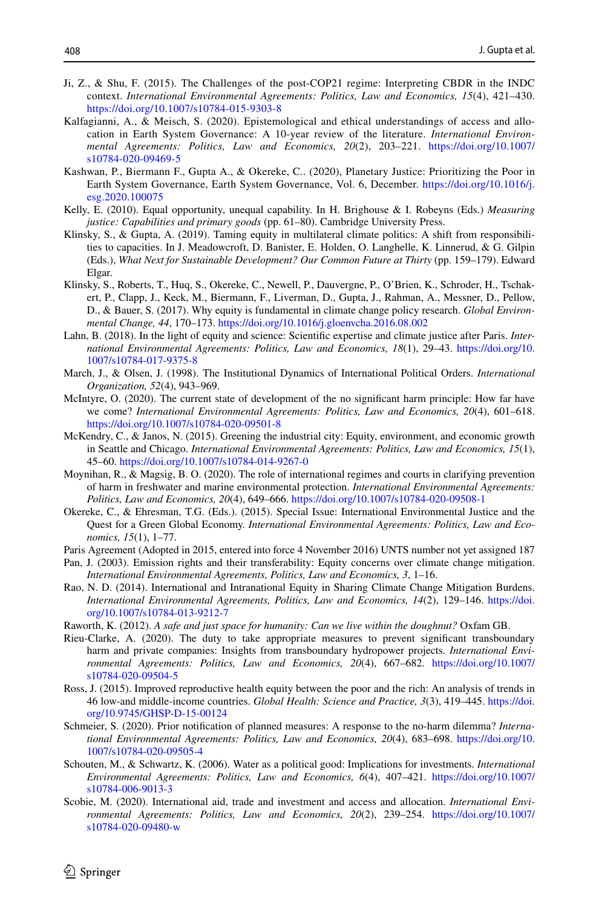- <span id="page-15-11"></span>Ji, Z., & Shu, F. (2015). The Challenges of the post-COP21 regime: Interpreting CBDR in the INDC context. *International Environmental Agreements: Politics, Law and Economics, 15*(4), 421–430. <https://doi.org/10.1007/s10784-015-9303-8>
- <span id="page-15-0"></span>Kalfagianni, A., & Meisch, S. (2020). Epistemological and ethical understandings of access and allocation in Earth System Governance: A 10-year review of the literature. *International Environmental Agreements: Politics, Law and Economics, 20*(2), 203–221. [https://doi.org/10.1007/](https://doi.org/10.1007/s10784-020-09469-5) [s10784-020-09469-5](https://doi.org/10.1007/s10784-020-09469-5)
- <span id="page-15-16"></span>Kashwan, P., Biermann F., Gupta A., & Okereke, C.. (2020), Planetary Justice: Prioritizing the Poor in Earth System Governance, Earth System Governance, Vol. 6, December. [https://doi.org/10.1016/j.](https://doi.org/10.1016/j.esg.2020.100075) [esg.2020.100075](https://doi.org/10.1016/j.esg.2020.100075)
- <span id="page-15-18"></span>Kelly, E. (2010). Equal opportunity, unequal capability. In H. Brighouse & I. Robeyns (Eds.) *Measuring justice: Capabilities and primary goods* (pp. 61–80). Cambridge University Press.
- <span id="page-15-12"></span>Klinsky, S., & Gupta, A. (2019). Taming equity in multilateral climate politics: A shift from responsibilities to capacities. In J. Meadowcroft, D. Banister, E. Holden, O. Langhelle, K. Linnerud, & G. Gilpin (Eds.), *What Next for Sustainable Development? Our Common Future at Thirty* (pp. 159–179). Edward Elgar.
- <span id="page-15-15"></span>Klinsky, S., Roberts, T., Huq, S., Okereke, C., Newell, P., Dauvergne, P., O'Brien, K., Schroder, H., Tschakert, P., Clapp, J., Keck, M., Biermann, F., Liverman, D., Gupta, J., Rahman, A., Messner, D., Pellow, D., & Bauer, S. (2017). Why equity is fundamental in climate change policy research. *Global Environmental Change, 44*, 170–173.<https://doi.org/10.1016/j.gloenvcha.2016.08.002>
- <span id="page-15-13"></span>Lahn, B. (2018). In the light of equity and science: Scientifc expertise and climate justice after Paris. *International Environmental Agreements: Politics, Law and Economics, 18*(1), 29–43. [https://doi.org/10.](https://doi.org/10.1007/s10784-017-9375-8) [1007/s10784-017-9375-8](https://doi.org/10.1007/s10784-017-9375-8)
- <span id="page-15-1"></span>March, J., & Olsen, J. (1998). The Institutional Dynamics of International Political Orders. *International Organization, 52*(4), 943–969.
- <span id="page-15-4"></span>McIntyre, O. (2020). The current state of development of the no signifcant harm principle: How far have we come? *International Environmental Agreements: Politics, Law and Economics, 20*(4), 601–618. <https://doi.org/10.1007/s10784-020-09501-8>
- <span id="page-15-8"></span>McKendry, C., & Janos, N. (2015). Greening the industrial city: Equity, environment, and economic growth in Seattle and Chicago. *International Environmental Agreements: Politics, Law and Economics, 15*(1), 45–60. <https://doi.org/10.1007/s10784-014-9267-0>
- <span id="page-15-3"></span>Moynihan, R., & Magsig, B. O. (2020). The role of international regimes and courts in clarifying prevention of harm in freshwater and marine environmental protection. *International Environmental Agreements: Politics, Law and Economics, 20*(4), 649–666.<https://doi.org/10.1007/s10784-020-09508-1>
- <span id="page-15-7"></span>Okereke, C., & Ehresman, T.G. (Eds.). (2015). Special Issue: International Environmental Justice and the Quest for a Green Global Economy. *International Environmental Agreements: Politics, Law and Economics, 15*(1), 1–77.
- Paris Agreement (Adopted in 2015, entered into force 4 November 2016) UNTS number not yet assigned 187
- <span id="page-15-9"></span>Pan, J. (2003). Emission rights and their transferability: Equity concerns over climate change mitigation. *International Environmental Agreements, Politics, Law and Economics, 3*, 1–16.
- <span id="page-15-10"></span>Rao, N. D. (2014). International and Intranational Equity in Sharing Climate Change Mitigation Burdens. *International Environmental Agreements, Politics, Law and Economics, 14*(2), 129–146. [https://doi.](https://doi.org/10.1007/s10784-013-9212-7) [org/10.1007/s10784-013-9212-7](https://doi.org/10.1007/s10784-013-9212-7)
- <span id="page-15-2"></span>Raworth, K. (2012). *A safe and just space for humanity: Can we live within the doughnut?* Oxfam GB.
- <span id="page-15-6"></span>Rieu-Clarke, A. (2020). The duty to take appropriate measures to prevent signifcant transboundary harm and private companies: Insights from transboundary hydropower projects. *International Environmental Agreements: Politics, Law and Economics, 20*(4), 667–682. [https://doi.org/10.1007/](https://doi.org/10.1007/s10784-020-09504-5) [s10784-020-09504-5](https://doi.org/10.1007/s10784-020-09504-5)
- <span id="page-15-19"></span>Ross, J. (2015). Improved reproductive health equity between the poor and the rich: An analysis of trends in 46 low-and middle-income countries. *Global Health: Science and Practice, 3*(3), 419–445. [https://doi.](https://doi.org/10.9745/GHSP-D-15-00124) [org/10.9745/GHSP-D-15-00124](https://doi.org/10.9745/GHSP-D-15-00124)
- <span id="page-15-5"></span>Schmeier, S. (2020). Prior notifcation of planned measures: A response to the no-harm dilemma? *International Environmental Agreements: Politics, Law and Economics, 20*(4), 683–698. [https://doi.org/10.](https://doi.org/10.1007/s10784-020-09505-4) [1007/s10784-020-09505-4](https://doi.org/10.1007/s10784-020-09505-4)
- <span id="page-15-14"></span>Schouten, M., & Schwartz, K. (2006). Water as a political good: Implications for investments. *International Environmental Agreements: Politics, Law and Economics, 6*(4), 407–421. [https://doi.org/10.1007/](https://doi.org/10.1007/s10784-006-9013-3) [s10784-006-9013-3](https://doi.org/10.1007/s10784-006-9013-3)
- <span id="page-15-17"></span>Scobie, M. (2020). International aid, trade and investment and access and allocation. *International Environmental Agreements: Politics, Law and Economics, 20*(2), 239–254. [https://doi.org/10.1007/](https://doi.org/10.1007/s10784-020-09480-w) [s10784-020-09480-w](https://doi.org/10.1007/s10784-020-09480-w)